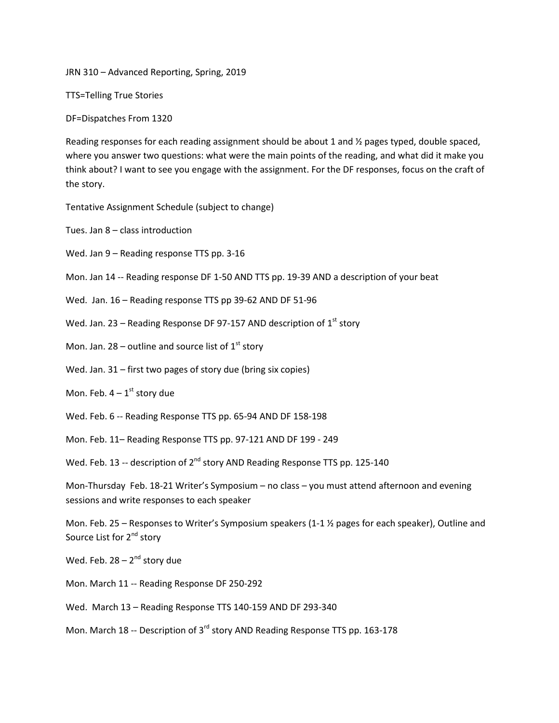JRN 310 – Advanced Reporting, Spring, 2019

TTS=Telling True Stories

DF=Dispatches From 1320

Reading responses for each reading assignment should be about 1 and  $\frac{1}{2}$  pages typed, double spaced, where you answer two questions: what were the main points of the reading, and what did it make you think about? I want to see you engage with the assignment. For the DF responses, focus on the craft of the story.

Tentative Assignment Schedule (subject to change)

Tues. Jan 8 – class introduction

Wed. Jan 9 – Reading response TTS pp. 3-16

Mon. Jan 14 -- Reading response DF 1-50 AND TTS pp. 19-39 AND a description of your beat

Wed. Jan. 16 – Reading response TTS pp 39-62 AND DF 51-96

Wed. Jan. 23 – Reading Response DF 97-157 AND description of  $1<sup>st</sup>$  story

Mon. Jan. 28 – outline and source list of  $1<sup>st</sup>$  story

Wed. Jan. 31 – first two pages of story due (bring six copies)

Mon. Feb.  $4 - 1$ <sup>st</sup> story due

Wed. Feb. 6 -- Reading Response TTS pp. 65-94 AND DF 158-198

Mon. Feb. 11– Reading Response TTS pp. 97-121 AND DF 199 - 249

Wed. Feb. 13 -- description of  $2^{nd}$  story AND Reading Response TTS pp. 125-140

Mon-Thursday Feb. 18-21 Writer's Symposium – no class – you must attend afternoon and evening sessions and write responses to each speaker

Mon. Feb. 25 – Responses to Writer's Symposium speakers (1-1  $\frac{1}{2}$  pages for each speaker), Outline and Source List for 2<sup>nd</sup> story

Wed. Feb.  $28 - 2^{nd}$  story due

Mon. March 11 -- Reading Response DF 250-292

Wed. March 13 – Reading Response TTS 140-159 AND DF 293-340

Mon. March 18 -- Description of 3<sup>rd</sup> story AND Reading Response TTS pp. 163-178